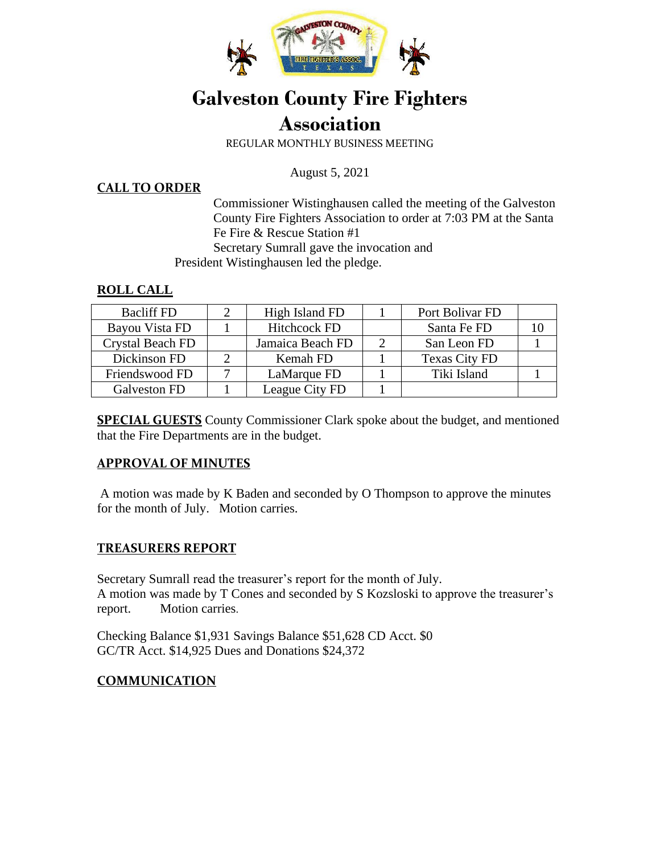

# **Galveston County Fire Fighters Association**

REGULAR MONTHLY BUSINESS MEETING

August 5, 2021

#### **CALL TO ORDER**

Commissioner Wistinghausen called the meeting of the Galveston County Fire Fighters Association to order at 7:03 PM at the Santa Fe Fire & Rescue Station #1 Secretary Sumrall gave the invocation and President Wistinghausen led the pledge.

## **ROLL CALL**

| <b>Bacliff FD</b>       | High Island FD      | Port Bolivar FD      |  |
|-------------------------|---------------------|----------------------|--|
| Bayou Vista FD          | <b>Hitchcock FD</b> | Santa Fe FD          |  |
| <b>Crystal Beach FD</b> | Jamaica Beach FD    | San Leon FD          |  |
| Dickinson FD            | Kemah FD            | <b>Texas City FD</b> |  |
| Friendswood FD          | LaMarque FD         | Tiki Island          |  |
| Galveston FD            | League City FD      |                      |  |

**SPECIAL GUESTS** County Commissioner Clark spoke about the budget, and mentioned that the Fire Departments are in the budget.

## **APPROVAL OF MINUTES**

A motion was made by K Baden and seconded by O Thompson to approve the minutes for the month of July. Motion carries.

## **TREASURERS REPORT**

Secretary Sumrall read the treasurer's report for the month of July. A motion was made by T Cones and seconded by S Kozsloski to approve the treasurer's report. Motion carries.

Checking Balance \$1,931 Savings Balance \$51,628 CD Acct. \$0 GC/TR Acct. \$14,925 Dues and Donations \$24,372

## **COMMUNICATION**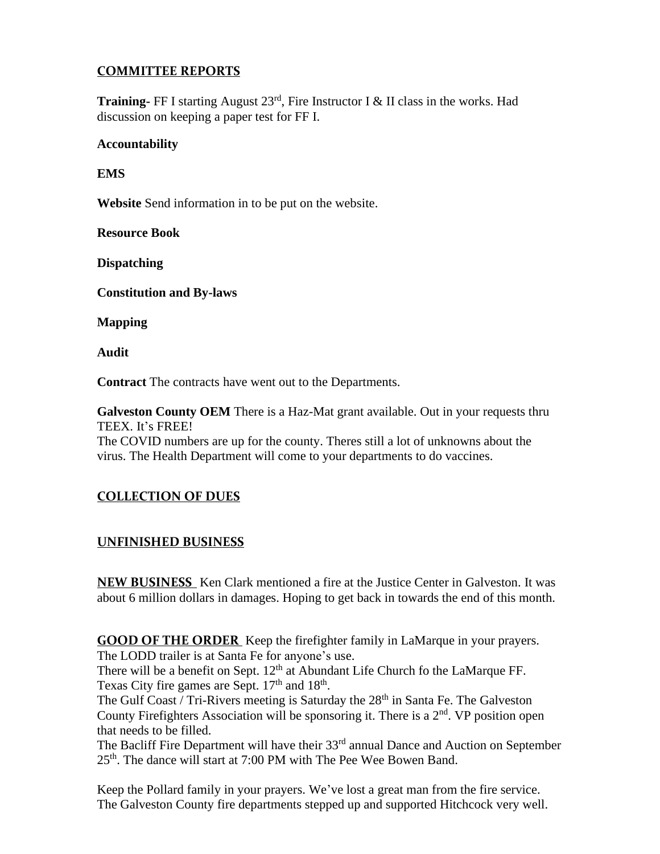## **COMMITTEE REPORTS**

**Training-** FF I starting August 23<sup>rd</sup>, Fire Instructor I & II class in the works. Had discussion on keeping a paper test for FF I.

#### **Accountability**

**EMS** 

**Website** Send information in to be put on the website.

**Resource Book** 

**Dispatching** 

**Constitution and By-laws** 

**Mapping** 

**Audit** 

**Contract** The contracts have went out to the Departments.

**Galveston County OEM** There is a Haz-Mat grant available. Out in your requests thru TEEX. It's FREE!

The COVID numbers are up for the county. Theres still a lot of unknowns about the virus. The Health Department will come to your departments to do vaccines.

## **COLLECTION OF DUES**

## **UNFINISHED BUSINESS**

**NEW BUSINESS** Ken Clark mentioned a fire at the Justice Center in Galveston. It was about 6 million dollars in damages. Hoping to get back in towards the end of this month.

**GOOD OF THE ORDER** Keep the firefighter family in LaMarque in your prayers. The LODD trailer is at Santa Fe for anyone's use.

There will be a benefit on Sept.  $12<sup>th</sup>$  at Abundant Life Church fo the LaMarque FF. Texas City fire games are Sept. 17<sup>th</sup> and 18<sup>th</sup>.

The Gulf Coast / Tri-Rivers meeting is Saturday the 28<sup>th</sup> in Santa Fe. The Galveston County Firefighters Association will be sponsoring it. There is a  $2<sup>nd</sup>$ . VP position open that needs to be filled.

The Bacliff Fire Department will have their  $33<sup>rd</sup>$  annual Dance and Auction on September 25th. The dance will start at 7:00 PM with The Pee Wee Bowen Band.

Keep the Pollard family in your prayers. We've lost a great man from the fire service. The Galveston County fire departments stepped up and supported Hitchcock very well.